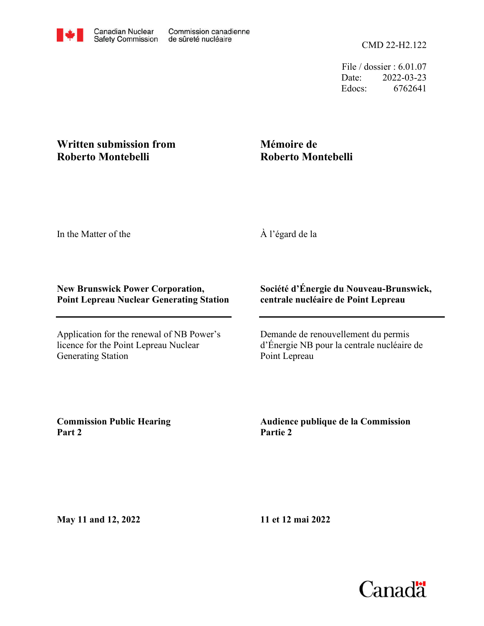File / dossier : 6.01.07 Date: 2022-03-23 Edocs: 6762641

## **Written submission from Roberto Montebelli**

## **Mémoire de Roberto Montebelli**

In the Matter of the

À l'égard de la

## **New Brunswick Power Corporation, Point Lepreau Nuclear Generating Station**

Application for the renewal of NB Power's licence for the Point Lepreau Nuclear Generating Station

## **Société d'Énergie du Nouveau-Brunswick, centrale nucléaire de Point Lepreau**

Demande de renouvellement du permis d'Énergie NB pour la centrale nucléaire de Point Lepreau

**Commission Public Hearing Part 2**

**Audience publique de la Commission Partie 2**

**May 11 and 12, 2022**

**11 et 12 mai 2022**